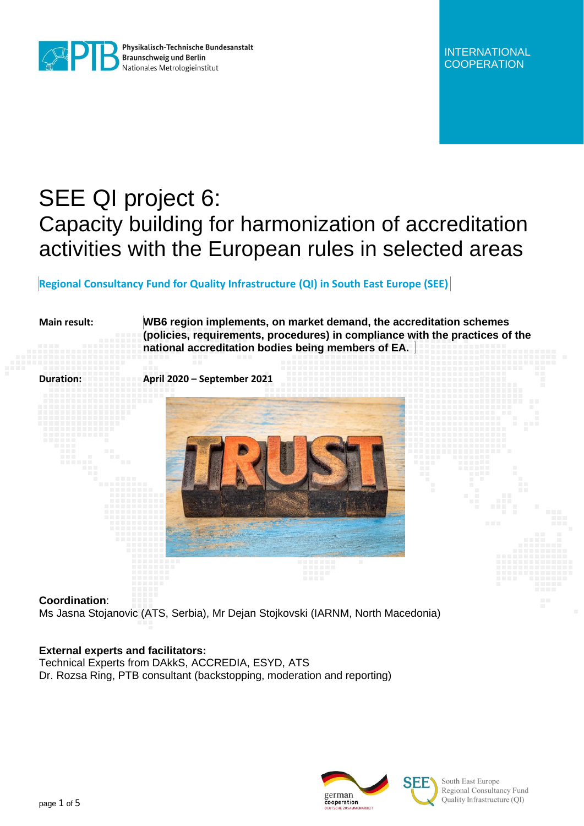

Physikalisch-Technische Bundesanstalt **Braunschweig und Berlin** Nationales Metrologieinstitut

INTERNATIONAL **COOPERATION** 

# SEE QI project 6: Capacity building for harmonization of accreditation activities with the European rules in selected areas

# **Regional Consultancy Fund for Quality Infrastructure (QI) in South East Europe (SEE)**

**Main result: WB6 region implements, on market demand, the accreditation schemes (policies, requirements, procedures) in compliance with the practices of the national accreditation bodies being members of EA.**



#### **Coordination**:

Ms Jasna Stojanovic (ATS, Serbia), Mr Dejan Stojkovski (IARNM, North Macedonia)

## **External experts and facilitators:**

Technical Experts from DAkkS, ACCREDIA, ESYD, ATS Dr. Rozsa Ring, PTB consultant (backstopping, moderation and reporting)





South East Europe Regional Consultancy Fund Quality Infrastructure (QI)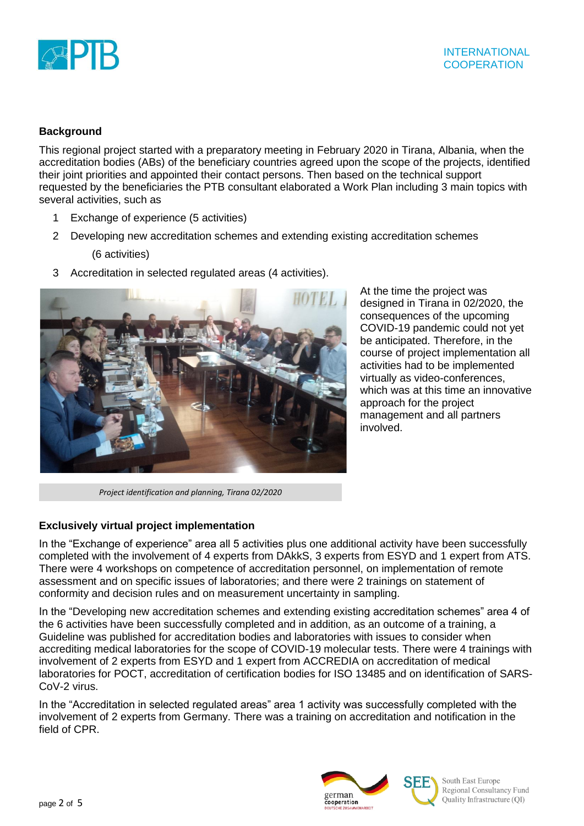

# **Background**

This regional project started with a preparatory meeting in February 2020 in Tirana, Albania, when the accreditation bodies (ABs) of the beneficiary countries agreed upon the scope of the projects, identified their joint priorities and appointed their contact persons. Then based on the technical support requested by the beneficiaries the PTB consultant elaborated a Work Plan including 3 main topics with several activities, such as

- 1 Exchange of experience (5 activities)
- 2 Developing new accreditation schemes and extending existing accreditation schemes

(6 activities)

3 Accreditation in selected regulated areas (4 activities).



At the time the project was designed in Tirana in 02/2020, the consequences of the upcoming COVID-19 pandemic could not yet be anticipated. Therefore, in the course of project implementation all activities had to be implemented virtually as video-conferences, which was at this time an innovative approach for the project management and all partners involved.

*Project identification and planning, Tirana 02/2020*

# **Exclusively virtual project implementation**

In the "Exchange of experience" area all 5 activities plus one additional activity have been successfully completed with the involvement of 4 experts from DAkkS, 3 experts from ESYD and 1 expert from ATS. There were 4 workshops on competence of accreditation personnel, on implementation of remote assessment and on specific issues of laboratories; and there were 2 trainings on statement of conformity and decision rules and on measurement uncertainty in sampling.

In the "Developing new accreditation schemes and extending existing accreditation schemes" area 4 of the 6 activities have been successfully completed and in addition, as an outcome of a training, a Guideline was published for accreditation bodies and laboratories with issues to consider when accrediting medical laboratories for the scope of COVID-19 molecular tests. There were 4 trainings with involvement of 2 experts from ESYD and 1 expert from ACCREDIA on accreditation of medical laboratories for POCT, accreditation of certification bodies for ISO 13485 and on identification of SARS-CoV-2 virus.

In the "Accreditation in selected regulated areas" area 1 activity was successfully completed with the involvement of 2 experts from Germany. There was a training on accreditation and notification in the field of CPR.



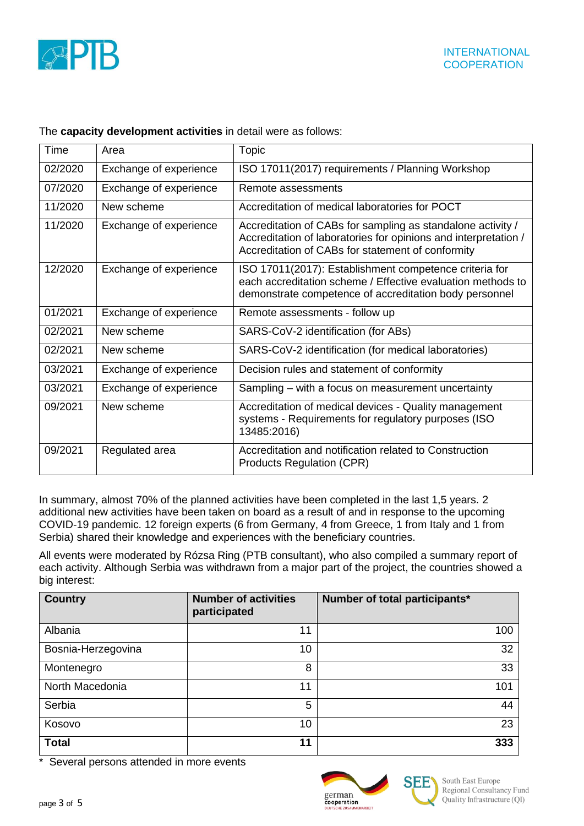

| Time    | Area                   | <b>Topic</b>                                                                                                                                                                        |  |
|---------|------------------------|-------------------------------------------------------------------------------------------------------------------------------------------------------------------------------------|--|
| 02/2020 | Exchange of experience | ISO 17011(2017) requirements / Planning Workshop                                                                                                                                    |  |
| 07/2020 | Exchange of experience | Remote assessments                                                                                                                                                                  |  |
| 11/2020 | New scheme             | Accreditation of medical laboratories for POCT                                                                                                                                      |  |
| 11/2020 | Exchange of experience | Accreditation of CABs for sampling as standalone activity /<br>Accreditation of laboratories for opinions and interpretation /<br>Accreditation of CABs for statement of conformity |  |
| 12/2020 | Exchange of experience | ISO 17011(2017): Establishment competence criteria for<br>each accreditation scheme / Effective evaluation methods to<br>demonstrate competence of accreditation body personnel     |  |
| 01/2021 | Exchange of experience | Remote assessments - follow up                                                                                                                                                      |  |
| 02/2021 | New scheme             | SARS-CoV-2 identification (for ABs)                                                                                                                                                 |  |
| 02/2021 | New scheme             | SARS-CoV-2 identification (for medical laboratories)                                                                                                                                |  |
| 03/2021 | Exchange of experience | Decision rules and statement of conformity                                                                                                                                          |  |
| 03/2021 | Exchange of experience | Sampling – with a focus on measurement uncertainty                                                                                                                                  |  |
| 09/2021 | New scheme             | Accreditation of medical devices - Quality management<br>systems - Requirements for regulatory purposes (ISO<br>13485:2016)                                                         |  |
| 09/2021 | Regulated area         | Accreditation and notification related to Construction<br><b>Products Regulation (CPR)</b>                                                                                          |  |

### The **capacity development activities** in detail were as follows:

In summary, almost 70% of the planned activities have been completed in the last 1,5 years. 2 additional new activities have been taken on board as a result of and in response to the upcoming COVID-19 pandemic. 12 foreign experts (6 from Germany, 4 from Greece, 1 from Italy and 1 from Serbia) shared their knowledge and experiences with the beneficiary countries.

All events were moderated by Rózsa Ring (PTB consultant), who also compiled a summary report of each activity. Although Serbia was withdrawn from a major part of the project, the countries showed a big interest:

| <b>Country</b>     | <b>Number of activities</b><br>participated | Number of total participants* |
|--------------------|---------------------------------------------|-------------------------------|
| Albania            | 11                                          | 100                           |
| Bosnia-Herzegovina | 10                                          | 32                            |
| Montenegro         | 8                                           | 33                            |
| North Macedonia    | 11                                          | 101                           |
| Serbia             | 5                                           | 44                            |
| Kosovo             | 10                                          | 23                            |
| <b>Total</b>       | 11                                          | 333                           |

\* Several persons attended in more events



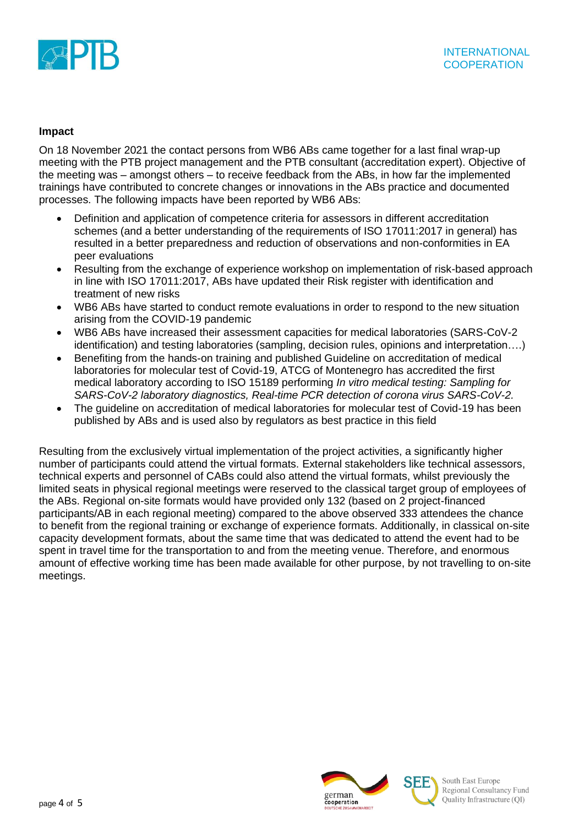

### **Impact**

On 18 November 2021 the contact persons from WB6 ABs came together for a last final wrap-up meeting with the PTB project management and the PTB consultant (accreditation expert). Objective of the meeting was – amongst others – to receive feedback from the ABs, in how far the implemented trainings have contributed to concrete changes or innovations in the ABs practice and documented processes. The following impacts have been reported by WB6 ABs:

- Definition and application of competence criteria for assessors in different accreditation schemes (and a better understanding of the requirements of ISO 17011:2017 in general) has resulted in a better preparedness and reduction of observations and non-conformities in EA peer evaluations
- Resulting from the exchange of experience workshop on implementation of risk-based approach in line with ISO 17011:2017, ABs have updated their Risk register with identification and treatment of new risks
- WB6 ABs have started to conduct remote evaluations in order to respond to the new situation arising from the COVID-19 pandemic
- WB6 ABs have increased their assessment capacities for medical laboratories (SARS-CoV-2 identification) and testing laboratories (sampling, decision rules, opinions and interpretation….)
- Benefiting from the hands-on training and published Guideline on accreditation of medical laboratories for molecular test of Covid-19, ATCG of Montenegro has accredited the first medical laboratory according to ISO 15189 performing *In vitro medical testing: Sampling for SARS-CoV-2 laboratory diagnostics, Real-time PCR detection of corona virus SARS-CoV-2.*
- The guideline on accreditation of medical laboratories for molecular test of Covid-19 has been published by ABs and is used also by regulators as best practice in this field

Resulting from the exclusively virtual implementation of the project activities, a significantly higher number of participants could attend the virtual formats. External stakeholders like technical assessors, technical experts and personnel of CABs could also attend the virtual formats, whilst previously the limited seats in physical regional meetings were reserved to the classical target group of employees of the ABs. Regional on-site formats would have provided only 132 (based on 2 project-financed participants/AB in each regional meeting) compared to the above observed 333 attendees the chance to benefit from the regional training or exchange of experience formats. Additionally, in classical on-site capacity development formats, about the same time that was dedicated to attend the event had to be spent in travel time for the transportation to and from the meeting venue. Therefore, and enormous amount of effective working time has been made available for other purpose, by not travelling to on-site meetings.